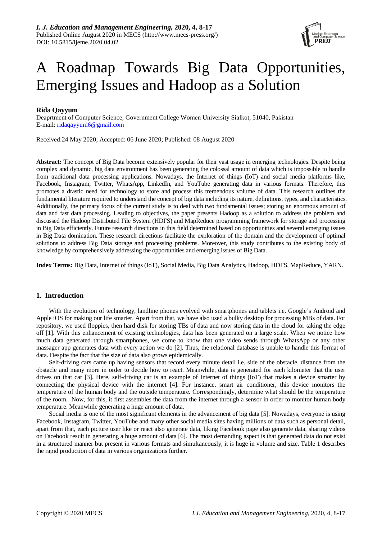

# A Roadmap Towards Big Data Opportunities, Emerging Issues and Hadoop as a Solution

# **Rida Qayyum**

Deaprtment of Computer Science, Government College Women University Sialkot, 51040, Pakistan E-mail: ridaqayyum6@gmail.com

Received:24 May 2020; Accepted: 06 June 2020; Published: 08 August 2020

**Abstract:** The concept of Big Data become extensively popular for their vast usage in emerging technologies. Despite being complex and dynamic, big data environment has been generating the colossal amount of data which is impossible to handle from traditional data processing applications. Nowadays, the Internet of things (IoT) and social media platforms like, Facebook, Instagram, Twitter, WhatsApp, LinkedIn, and YouTube generating data in various formats. Therefore, this promotes a drastic need for technology to store and process this tremendous volume of data. This research outlines the fundamental literature required to understand the concept of big data including its nature, definitions, types, and characteristics. Additionally, the primary focus of the current study is to deal with two fundamental issues; storing an enormous amount of data and fast data processing. Leading to objectives, the paper presents Hadoop as a solution to address the problem and discussed the Hadoop Distributed File System (HDFS) and MapReduce programming framework for storage and processing in Big Data efficiently. Future research directions in this field determined based on opportunities and several emerging issues in Big Data domination. These research directions facilitate the exploration of the domain and the development of optimal solutions to address Big Data storage and processing problems. Moreover, this study contributes to the existing body of knowledge by comprehensively addressing the opportunities and emerging issues of Big Data.

**Index Terms:** Big Data, Internet of things (IoT), Social Media, Big Data Analytics, Hadoop, HDFS, MapReduce, YARN.

# **1. Introduction**

With the evolution of technology, landline phones evolved with smartphones and tablets i.e. Google's Android and Apple iOS for making our life smarter. Apart from that, we have also used a bulky desktop for processing MBs of data. For repository, we used floppies, then hard disk for storing TBs of data and now storing data in the cloud for taking the edge off [1]. With this enhancement of existing technologies, data has been generated on a large scale. When we notice how much data generated through smartphones, we come to know that one video sends through WhatsApp or any other massager app generates data with every action we do [2]. Thus, the relational database is unable to handle this format of data. Despite the fact that the size of data also grows epidemically.

Self-driving cars came up having sensors that record every minute detail i.e. side of the obstacle, distance from the obstacle and many more in order to decide how to react. Meanwhile, data is generated for each kilometer that the user drives on that car [3]. Here, self-driving car is an example of Internet of things (IoT) that makes a device smarter by connecting the physical device with the internet [4]. For instance, smart air conditioner, this device monitors the temperature of the human body and the outside temperature. Correspondingly, determine what should be the temperature of the room. Now, for this, it first assembles the data from the internet through a sensor in order to monitor human body temperature. Meanwhile generating a huge amount of data.

Social media is one of the most significant elements in the advancement of big data [5]. Nowadays, everyone is using Facebook, Instagram, Twitter, YouTube and many other social media sites having millions of data such as personal detail, apart from that, each picture user like or react also generate data, liking Facebook page also generate data, sharing videos on Facebook result in generating a huge amount of data [6]. The most demanding aspect is that generated data do not exist in a structured manner but present in various formats and simultaneously, it is huge in volume and size. Table 1 describes the rapid production of data in various organizations further.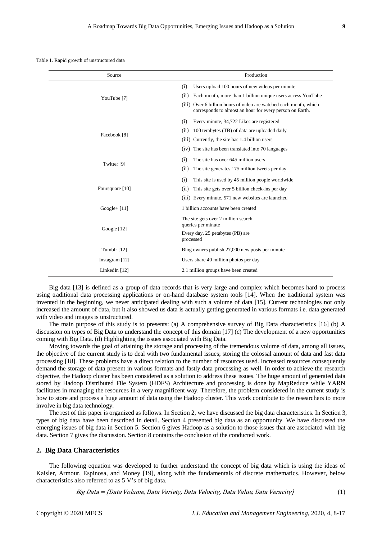Table 1. Rapid growth of unstructured data

| Source                 | Production                                                                                                                    |
|------------------------|-------------------------------------------------------------------------------------------------------------------------------|
| YouTube <sup>[7]</sup> | Users upload 100 hours of new videos per minute<br>(i)                                                                        |
|                        | (ii)<br>Each month, more than 1 billion unique users access YouTube                                                           |
|                        | (iii) Over 6 billion hours of video are watched each month, which<br>corresponds to almost an hour for every person on Earth. |
| Facebook [8]           | (i)<br>Every minute, 34,722 Likes are registered                                                                              |
|                        | 100 terabytes (TB) of data are uploaded daily<br>(ii)                                                                         |
|                        | Currently, the site has 1.4 billion users<br>(iii)                                                                            |
|                        | The site has been translated into 70 languages<br>(iv)                                                                        |
| Twitter [9]            | (i)<br>The site has over 645 million users                                                                                    |
|                        | (ii)<br>The site generates 175 million tweets per day                                                                         |
| Foursquare [10]        | (i)<br>This site is used by 45 million people worldwide                                                                       |
|                        | (ii)<br>This site gets over 5 billion check-ins per day                                                                       |
|                        | (iii) Every minute, 571 new websites are launched                                                                             |
| $Google+ [11]$         | 1 billion accounts have been created                                                                                          |
| Google $[12]$          | The site gets over 2 million search<br>queries per minute                                                                     |
|                        | Every day, 25 petabytes (PB) are<br>processed                                                                                 |
| Tumblr [12]            | Blog owners publish 27,000 new posts per minute                                                                               |
| Instagram $[12]$       | Users share 40 million photos per day                                                                                         |
| LinkedIn $[12]$        | 2.1 million groups have been created                                                                                          |

Big data [13] is defined as a group of data records that is very large and complex which becomes hard to process using traditional data processing applications or on-hand database system tools [14]. When the traditional system was invented in the beginning, we never anticipated dealing with such a volume of data [15]. Current technologies not only increased the amount of data, but it also showed us data is actually getting generated in various formats i.e. data generated with video and images is unstructured.

The main purpose of this study is to presents: (a) A comprehensive survey of Big Data characteristics [16] (b) A discussion on types of Big Data to understand the concept of this domain [17] (c) The development of a new opportunities coming with Big Data. (d) Highlighting the issues associated with Big Data.

Moving towards the goal of attaining the storage and processing of the tremendous volume of data, among all issues, the objective of the current study is to deal with two fundamental issues; storing the colossal amount of data and fast data processing [18]. These problems have a direct relation to the number of resources used. Increased resources consequently demand the storage of data present in various formats and fastly data processing as well. In order to achieve the research objective, the Hadoop cluster has been considered as a solution to address these issues. The huge amount of generated data stored by Hadoop Distributed File System (HDFS) Architecture and processing is done by MapReduce while YARN facilitates in managing the resources in a very magnificent way. Therefore, the problem considered in the current study is how to store and process a huge amount of data using the Hadoop cluster. This work contribute to the researchers to more involve in big data technology.

The rest of this paper is organized as follows. In Section 2, we have discussed the big data characteristics. In Section 3, types of big data have been described in detail. Section 4 presented big data as an opportunity. We have discussed the emerging issues of big data in Section 5. Section 6 gives Hadoop as a solution to those issues that are associated with big data. Section 7 gives the discussion. Section 8 contains the conclusion of the conducted work.

## **2. Big Data Characteristics**

The following equation was developed to further understand the concept of big data which is using the ideas of Kaisler, Armour, Espinosa, and Money [19], along with the fundamentals of discrete mathematics. However, below characteristics also referred to as 5 V's of big data.

 $Big Data = \{Data Volume, Data Variable, Data Velocity, Data, Value, Data Vertex; (1)$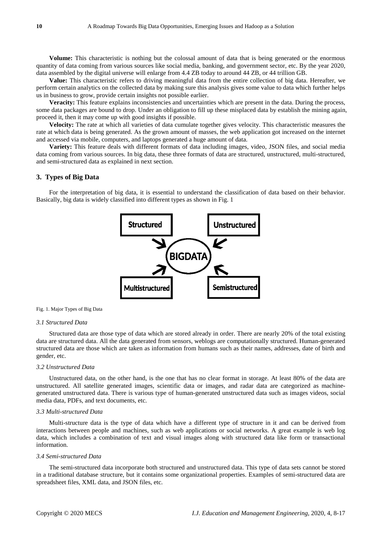**Volume:** This characteristic is nothing but the colossal amount of data that is being generated or the enormous quantity of data coming from various sources like social media, banking, and government sector, etc. By the year 2020, data assembled by the digital universe will enlarge from 4.4 ZB today to around 44 ZB, or 44 trillion GB.

**Value:** This characteristic refers to driving meaningful data from the entire collection of big data. Hereafter, we perform certain analytics on the collected data by making sure this analysis gives some value to data which further helps us in business to grow, provide certain insights not possible earlier.

**Veracity:** This feature explains inconsistencies and uncertainties which are present in the data. During the process, some data packages are bound to drop. Under an obligation to fill up these misplaced data by establish the mining again, proceed it, then it may come up with good insights if possible.

**Velocity:** The rate at which all varieties of data cumulate together gives velocity. This characteristic measures the rate at which data is being generated. As the grown amount of masses, the web application got increased on the internet and accessed via mobile, computers, and laptops generated a huge amount of data.

**Variety:** This feature deals with different formats of data including images, video, JSON files, and social media data coming from various sources. In big data, these three formats of data are structured, unstructured, multi-structured, and semi-structured data as explained in next section.

## **3. Types of Big Data**

For the interpretation of big data, it is essential to understand the classification of data based on their behavior. Basically, big data is widely classified into different types as shown in Fig. 1



#### Fig. 1. Major Types of Big Data

## *3.1 Structured Data*

Structured data are those type of data which are stored already in order. There are nearly 20% of the total existing data are structured data. All the data generated from sensors, weblogs are computationally structured. Human-generated structured data are those which are taken as information from humans such as their names, addresses, date of birth and gender, etc.

#### *3.2 Unstructured Data*

Unstructured data, on the other hand, is the one that has no clear format in storage. At least 80% of the data are unstructured. All satellite generated images, scientific data or images, and radar data are categorized as machinegenerated unstructured data. There is various type of human-generated unstructured data such as images videos, social media data, PDFs, and text documents, etc.

## *3.3 Multi-structured Data*

Multi-structure data is the type of data which have a different type of structure in it and can be derived from interactions between people and machines, such as web applications or social networks. A great example is web log data, which includes a combination of text and visual images along with structured data like form or transactional information.

### *3.4 Semi-structured Data*

The semi-structured data incorporate both structured and unstructured data. This type of data sets cannot be stored in a traditional database structure, but it contains some organizational properties. Examples of semi-structured data are spreadsheet files, XML data, and JSON files, etc.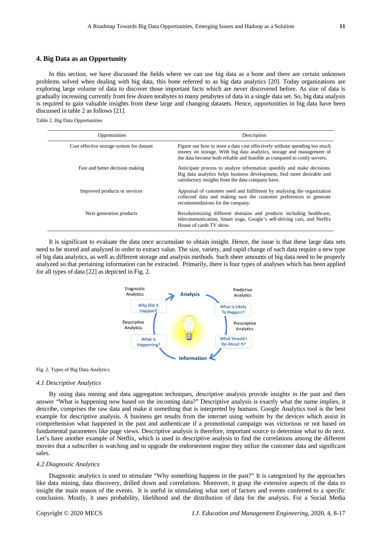# **4. Big Data as an Opportunity**

In this section, we have discussed the fields where we can use big data as a bone and there are certain unknown problems solved when dealing with big data, this bone referred to as big data analytics [20]. Today organizations are exploring large volume of data to discover those important facts which are never discovered before. As size of data is gradually increasing currently from few dozen terabytes to many petabytes of data in a single data set. So, big data analysis is required to gain valuable insights from these large and changing datasets. Hence, opportunities in big data have been discussed in table 2 as follows [21].

Table 2. Big Data Opportunities

| Opportunities                             | Description                                                                                                                                                                                                                    |
|-------------------------------------------|--------------------------------------------------------------------------------------------------------------------------------------------------------------------------------------------------------------------------------|
| Cost effective storage system for dataset | Figure out how to store a data cost effectively without spending too much<br>money on storage. With big data analytics, storage and management of<br>the data become both reliable and feasible as compared to costly servers. |
| Fast and better decision making           | Anticipate process to analyze information speedily and make decisions.<br>Big data analytics helps business development, find more desirable and<br>satisfactory insights from the data company have.                          |
| Improved products or services             | Appraisal of customer need and fulfilment by analysing the organization<br>collected data and making sure the customer preferences to generate<br>recommendations for the company.                                             |
| Next generation products                  | Revolutionizing different domains and products including healthcare,<br>telecommunication, Smart yoga, Google's self-driving cars, and Netflix<br>House of cards TV show.                                                      |

It is significant to evaluate the data once accumulate to obtain insight. Hence, the issue is that these large data sets need to be stored and analyzed in order to extract value. The size, variety, and rapid change of such data require a new type of big data analytics, as well as different storage and analysis methods. Such sheer amounts of big data need to be properly analyzed so that pertaining information can be extracted. Primarily, there is four types of analyses which has been applied for all types of data [22] as depicted in Fig. 2.



#### Fig. 2. Types of Big Data Analytics

## *4.1 Descriptive Analytics*

By using data mining and data aggregation techniques, descriptive analysis provide insights in the past and then answer "What is happening now based on the incoming data?" Descriptive analysis is exactly what the name implies, it describe, comprises the raw data and make it something that is interpreted by humans. Google Analytics tool is the best example for descriptive analysis. A business get results from the internet using website by the devices which assist in comprehension what happened in the past and authenticate if a promotional campaign was victorious or not based on fundamental parameters like page views. Descriptive analysis is therefore, important source to determine what to do next. Let's have another example of Netflix, which is used in descriptive analysis to find the correlations among the different movies that a subscriber is watching and to upgrade the endorsement engine they utilize the customer data and significant sales.

### *4.2 Diagnostic Analytics*

Diagnostic analytics is used to stimulate "Why something happens in the past?" It is categorized by the approaches like data mining, data discovery, drilled down and correlations. Moreover, it grasp the extensive aspects of the data to insight the main reason of the events. It is useful in stimulating what sort of factors and events conferred to a specific conclusion. Mostly, it uses probability, likelihood and the distribution of data for the analysis. For a Social Media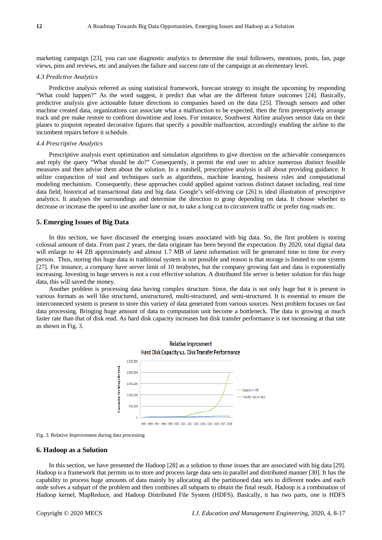marketing campaign [23], you can use diagnostic analytics to determine the total followers, mentions, posts, fan, page views, pins and reviews, etc and analyses the failure and success rate of the campaign at an elementary level.

### *4.3 Predictive Analytics*

Predictive analysis referred as using statistical framework, forecast strategy to insight the upcoming by responding "What could happen?" As the word suggest, it predict that what are the different future outcomes [24]. Basically, predictive analysis give actionable future directions to companies based on the data [25]. Through sensors and other machine created data, organizations can associate what a malfunction to be expected, then the firm preemptively arrange track and pre make restore to confront downtime and loses. For instance, Southwest Airline analyses sensor data on their planes to pinpoint repeated decorative figures that specify a possible malfunction, accordingly enabling the airline to the incumbent repairs before it schedule.

## *4.4 Prescriptive Analytics*

Prescriptive analysis exert optimization and simulation algorithms to give direction on the achievable consequences and reply the query "What should be do?" Consequently, it permit the end user to advice numerous distinct feasible measures and then advise them about the solution. In a nutshell, prescriptive analysis is all about providing guidance. It utilize conjunction of tool and techniques such as algorithms, machine learning, business rules and computational modeling mechanism. Consequently, these approaches could applied against various distinct dataset including, real time data field, historical ad transactional data and big data. Google's self-driving car [26] is ideal illustration of prescriptive analytics. It analyses the surroundings and determine the direction to grasp depending on data. It choose whether to decrease or increase the speed to use another lane or not, to take a long cut to circumvent traffic or prefer ting roads etc.

## **5. Emerging Issues of Big Data**

In this section, we have discussed the emerging issues associated with big data. So, the first problem is storing colossal amount of data. From past 2 years, the data originate has been beyond the expectation. By 2020, total digital data will enlarge to 44 ZB approximately and almost 1.7 MB of latest information will be generated time to time for every person. Thus, storing this huge data in traditional system is not possible and reason is that storage is limited to one system [27]. For instance, a company have server limit of 10 terabytes, but the company growing fast and data is exponentially increasing. Investing in huge servers is not a cost effective solution. A distributed file server is better solution for this huge data, this will saved the money.

Another problem is processing data having complex structure. Since, the data is not only huge but it is present in various formats as well like structured, unstructured, multi-structured, and semi-structured. It is essential to ensure the interconnected system is present to store this variety of data generated from various sources. Next problem focuses on fast data processing. Bringing huge amount of data to computation unit become a bottleneck. The data is growing at much faster rate than that of disk read. As hard disk capacity increases but disk transfer performance is not increasing at that rate as shown in Fig. 3.



Fig. 3. Relative Improvement during data processing

## **6. Hadoop as a Solution**

In this section, we have presented the Hadoop [28] as a solution to those issues that are associated with big data [29]. Hadoop is a framework that permits us to store and process large data sets in parallel and distributed manner [30]. It has the capability to process huge amounts of data mainly by allocating all the partitioned data sets to different nodes and each node solves a subpart of the problem and then combines all subparts to obtain the final result. Hadoop is a combination of Hadoop kernel, MapReduce, and Hadoop Distributed File System (HDFS). Basically, it has two parts, one is HDFS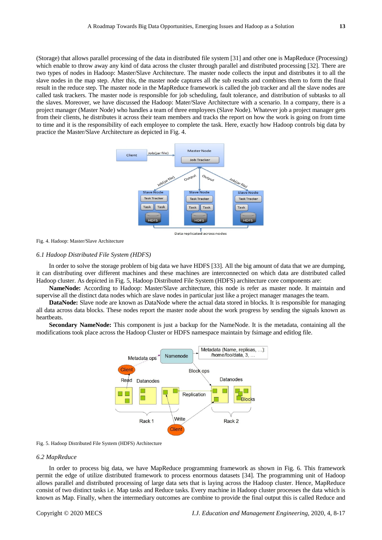(Storage) that allows parallel processing of the data in distributed file system [31] and other one is MapReduce (Processing) which enable to throw away any kind of data across the cluster through parallel and distributed processing [32]. There are two types of nodes in Hadoop: Master/Slave Architecture. The master node collects the input and distributes it to all the slave nodes in the map step. After this, the master node captures all the sub results and combines them to form the final result in the reduce step. The master node in the MapReduce framework is called the job tracker and all the slave nodes are called task trackers. The master node is responsible for job scheduling, fault tolerance, and distribution of subtasks to all the slaves. Moreover, we have discussed the Hadoop: Mater/Slave Architecture with a scenario. In a company, there is a project manager (Master Node) who handles a team of three employees (Slave Node). Whatever job a project manager gets from their clients, he distributes it across their team members and tracks the report on how the work is going on from time to time and it is the responsibility of each employee to complete the task. Here, exactly how Hadoop controls big data by practice the Master/Slave Architecture as depicted in Fig. 4.



Data replicated across nodes

#### Fig. 4. Hadoop: Master/Slave Architecture

#### *6.1 Hadoop Distributed File System (HDFS)*

In order to solve the storage problem of big data we have HDFS [33]. All the big amount of data that we are dumping, it can distributing over different machines and these machines are interconnected on which data are distributed called Hadoop cluster. As depicted in Fig. 5, Hadoop Distributed File System (HDFS) architecture core components are:

**NameNode:** According to Hadoop: Master/Slave architecture, this node is refer as master node. It maintain and supervise all the distinct data nodes which are slave nodes in particular just like a project manager manages the team.

**DataNode:** Slave node are known as DataNode where the actual data stored in blocks. It is responsible for managing all data across data blocks. These nodes report the master node about the work progress by sending the signals known as heartbeats.

**Secondary NameNode:** This component is just a backup for the NameNode. It is the metadata, containing all the modifications took place across the Hadoop Cluster or HDFS namespace maintain by fsimage and editlog file.



Fig. 5. Hadoop Distributed File System (HDFS) Architecture

#### *6.2 MapReduce*

In order to process big data, we have MapReduce programming framework as shown in Fig. 6. This framework permit the edge of utilize distributed framework to process enormous datasets [34]. The programming unit of Hadoop allows parallel and distributed processing of large data sets that is laying across the Hadoop cluster. Hence, MapReduce consist of two distinct tasks i.e. Map tasks and Reduce tasks. Every machine in Hadoop cluster processes the data which is known as Map. Finally, when the intermediary outcomes are combine to provide the final output this is called Reduce and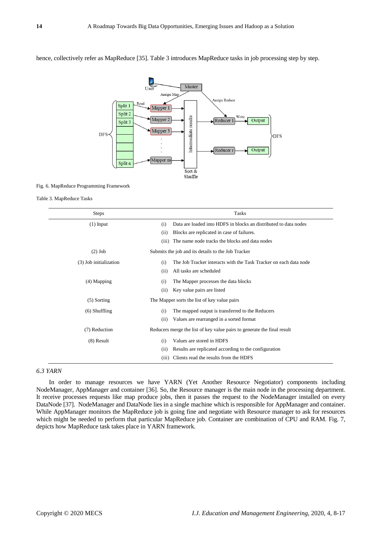

hence, collectively refer as MapReduce [35]. Table 3 introduces MapReduce tasks in job processing step by step.

#### Fig. 6. MapReduce Programming Framework

Table 3. MapReduce Tasks

| <b>Steps</b>           |                                                                         | <b>Tasks</b>                                                      |
|------------------------|-------------------------------------------------------------------------|-------------------------------------------------------------------|
| $(1)$ Input            | (i)                                                                     | Data are loaded into HDFS in blocks an distributed to data nodes  |
|                        | (ii)                                                                    | Blocks are replicated in case of failures.                        |
|                        | (iii)                                                                   | The name node tracks the blocks and data nodes                    |
| $(2)$ Job              | Submits the job and its details to the Job Tracker                      |                                                                   |
| (3) Job initialization | (i)                                                                     | The Job Tracker interacts with the Task Tracker on each data node |
|                        | (ii)                                                                    | All tasks are scheduled                                           |
| $(4)$ Mapping          | (i)                                                                     | The Mapper processes the data blocks                              |
|                        | (ii)                                                                    | Key value pairs are listed                                        |
| $(5)$ Sorting          | The Mapper sorts the list of key value pairs                            |                                                                   |
| $(6)$ Shuffling        | (i)                                                                     | The mapped output is transferred to the Reducers                  |
|                        | (ii)                                                                    | Values are rearranged in a sorted format                          |
| (7) Reduction          | Reducers merge the list of key value pairs to generate the final result |                                                                   |
| $(8)$ Result           | (i)                                                                     | Values are stored in HDFS                                         |
|                        | (ii)                                                                    | Results are replicated according to the configuration             |
|                        | (iii)                                                                   | Clients read the results from the HDFS                            |

*6.3 YARN*

In order to manage resources we have YARN (Yet Another Resource Negotiator) components including NodeManager, AppManager and container [36]. So, the Resource manager is the main node in the processing department. It receive processes requests like map produce jobs, then it passes the request to the NodeManager installed on every DataNode [37]. NodeManager and DataNode lies in a single machine which is responsible for AppManager and container. While AppManager monitors the MapReduce job is going fine and negotiate with Resource manager to ask for resources which might be needed to perform that particular MapReduce job. Container are combination of CPU and RAM. Fig. 7, depicts how MapReduce task takes place in YARN framework.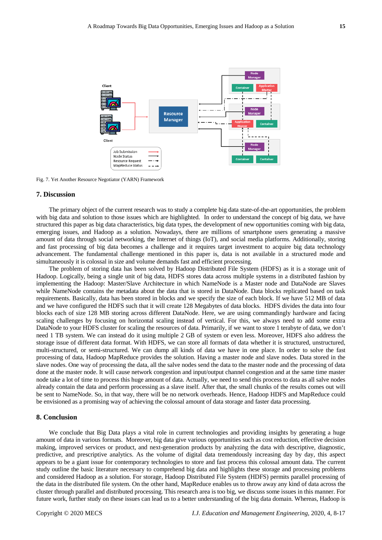

Fig. 7. Yet Another Resource Negotiator (YARN) Framework

## **7. Discussion**

The primary object of the current research was to study a complete big data state-of-the-art opportunities, the problem with big data and solution to those issues which are highlighted. In order to understand the concept of big data, we have structured this paper as big data characteristics, big data types, the development of new opportunities coming with big data, emerging issues, and Hadoop as a solution. Nowadays, there are millions of smartphone users generating a massive amount of data through social networking, the Internet of things (IoT), and social media platforms. Additionally, storing and fast processing of big data becomes a challenge and it requires target investment to acquire big data technology advancement. The fundamental challenge mentioned in this paper is, data is not available in a structured mode and simultaneously it is colossal in size and volume demands fast and efficient processing.

The problem of storing data has been solved by Hadoop Distributed File System (HDFS) as it is a storage unit of Hadoop. Logically, being a single unit of big data, HDFS stores data across multiple systems in a distributed fashion by implementing the Hadoop: Master/Slave Architecture in which NameNode is a Master node and DataNode are Slaves while NameNode contains the metadata about the data that is stored in DataNode. Data blocks replicated based on task requirements. Basically, data has been stored in blocks and we specify the size of each block. If we have 512 MB of data and we have configured the HDFS such that it will create 128 Megabytes of data blocks. HDFS divides the data into four blocks each of size 128 MB storing across different DataNode. Here, we are using commandingly hardware and facing scaling challenges by focusing on horizontal scaling instead of vertical. For this, we always need to add some extra DataNode to your HDFS cluster for scaling the resources of data. Primarily, if we want to store 1 terabyte of data, we don't need 1 TB system. We can instead do it using multiple 2 GB of system or even less. Moreover, HDFS also address the storage issue of different data format. With HDFS, we can store all formats of data whether it is structured, unstructured, multi-structured, or semi-structured. We can dump all kinds of data we have in one place. In order to solve the fast processing of data, Hadoop MapReduce provides the solution. Having a master node and slave nodes. Data stored in the slave nodes. One way of processing the data, all the salve nodes send the data to the master node and the processing of data done at the master node. It will cause network congestion and input/output channel congestion and at the same time master node take a lot of time to process this huge amount of data. Actually, we need to send this process to data as all salve nodes already contain the data and perform processing as a slave itself. After that, the small chunks of the results comes out will be sent to NameNode. So, in that way, there will be no network overheads. Hence, Hadoop HDFS and MapReduce could be envisioned as a promising way of achieving the colossal amount of data storage and faster data processing.

## **8. Conclusion**

We conclude that Big Data plays a vital role in current technologies and providing insights by generating a huge amount of data in various formats. Moreover, big data give various opportunities such as cost reduction, effective decision making, improved services or product, and next-generation products by analyzing the data with descriptive, diagnostic, predictive, and prescriptive analytics. As the volume of digital data tremendously increasing day by day, this aspect appears to be a giant issue for contemporary technologies to store and fast process this colossal amount data. The current study outline the basic literature necessary to comprehend big data and highlights these storage and processing problems and considered Hadoop as a solution. For storage, Hadoop Distributed File System (HDFS) permits parallel processing of the data in the distributed file system. On the other hand, MapReduce enables us to throw away any kind of data across the cluster through parallel and distributed processing. This research area is too big, we discuss some issues in this manner. For future work, further study on these issues can lead us to a better understanding of the big data domain. Whereas, Hadoop is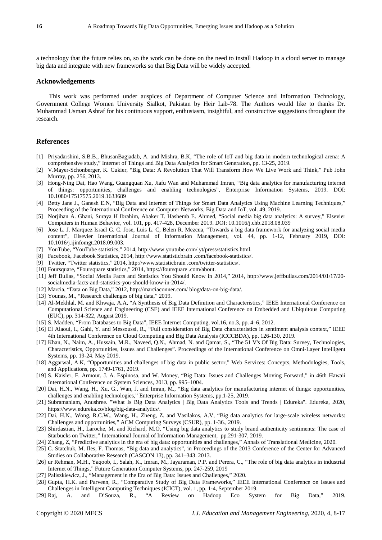a technology that the future relies on, so the work can be done on the need to install Hadoop in a cloud server to manage big data and integrate with new frameworks so that Big Data will be widely accepted.

# **Acknowledgements**

This work was performed under auspices of Department of Computer Science and Information Technology, Government College Women University Sialkot, Pakistan by Heir Lab-78. The Authors would like to thanks Dr. Muhammad Usman Ashraf for his continuous support, enthusiasm, insightful, and constructive suggestions throughout the research.

### **References**

- [1] Priyadarshini, S.B.B., BhusanBagjadab, A. and Mishra, B.K, "The role of IoT and big data in modern technological arena: A comprehensive study," Internet of Things and Big Data Analytics for Smart Generation, pp. 13-25, 2019.
- [2] V.Mayer-Schonberger, K. Cukier, "Big Data: A Revolution That Will Transform How We Live Work and Think," Pub John Murray, pp. 256, 2013.
- [3] Hong-Ning Dai, Hao Wang, Guangquan Xu, Jiafu Wan and Muhammad Imran, "Big data analytics for manufacturing internet of things: opportunities, challenges and enabling technologies", Enterprise Information Systems, 2019. DOI: 10.1080/17517575.2019.1633689
- [4] Betty Jane J., Ganesh E.N, "Big Data and Internet of Things for Smart Data Analytics Using Machine Learning Techniques," Proceeding of the International Conference on Computer Networks, Big Data and IoT, vol. 49, 2019.
- [5] Norjihan A. Ghani, Suraya H Ibrahim, Abaker T. Hashemb E. Ahmed, "Social media big data analytics: A survey," Elsevier Computers in Human Behavior, vol. 101, pp. 417-428, December 2019. DOI: 10.1016/j.chb.2018.08.039
- [6] Jose L. J. Marquez Israel G. C. Jose, Luis L. C, Belen R. Mezcua, "Towards a big data framework for analyzing social media content", Elsevier International Journal of Information Management, vol. 44, pp. 1-12, February 2019, DOI: 10.1016/j.ijinfomgt.2018.09.003.
- [7] YouTube, "YouTube statistics," 2014, http://www.youtube.com/ yt/press/statistics.html.
- [8] Facebook, Facebook Statistics, 2014, http://www.statisticbrain .com/facebook-statistics/.
- [9] Twitter, "Twitter statistics," 2014, http://www.statisticbrain .com/twitter-statistics/.
- [10] Foursquare, "Foursquare statistics," 2014, https://foursquare .com/about.
- [11] Jeff Bullas, "Social Media Facts and Statistics You Should Know in 2014," 2014, http://www.jeffbullas.com/2014/01/17/20 socialmedia-facts-and-statistics-you-should-know-in-2014/.
- [12] Marcia, "Data on Big Data," 2012, http://marciaconner.com/ blog/data-on-big-data/.
- [13] Younas, M., "Research challenges of big data," 2019.
- [14] Al-Mekhlal, M. and Khwaja, A.A, "A Synthesis of Big Data Definition and Characteristics," IEEE International Conference on Computational Science and Engineering (CSE) and IEEE International Conference on Embedded and Ubiquitous Computing (EUC), pp. 314-322, August 2019.
- [15] S. Madden, "From Databases to Big Data", IEEE Internet Computing, vol.16, no.3, pp. 4–6, 2012.
- [16] El Alaoui, I., Gahi, Y. and Messoussi, R., "Full consideration of Big Data characteristics in sentiment analysis context," IEEE 4th International Conference on Cloud Computing and Big Data Analysis (ICCCBDA), pp. 126-130, 2019.
- [17] Khan, N., Naim, A., Hussain, M.R., Naveed, Q.N., Ahmad, N. and Qamar, S., "The 51 V's Of Big Data: Survey, Technologies, Characteristics, Opportunities, Issues and Challenges". Proceedings of the International Conference on Omni-Layer Intelligent Systems, pp. 19-24. May 2019.
- [18] Aggarwal, A.K, "Opportunities and challenges of big data in public sector," Web Services: Concepts, Methodologies, Tools, and Applications, pp. 1749-1761, 2019.
- [19] S. Kaisler, F. Armour, J. A. Espinosa, and W. Money, "Big Data: Issues and Challenges Moving Forward," in 46th Hawaii International Conference on System Sciences, 2013, pp. 995–1004.
- [20] Dai, H.N., Wang, H., Xu, G., Wan, J. and Imran, M., "Big data analytics for manufacturing internet of things: opportunities, challenges and enabling technologies," Enterprise Information Systems, pp.1-25, 2019.
- [21] Subramaniam, Anushree. "What Is Big Data Analytics | Big Data Analytics Tools and Trends | Edureka". Edureka, 2020, https://www.edureka.co/blog/big-data-analytics/.
- [22] Dai, H.N., Wong, R.C.W., Wang, H., Zheng, Z. and Vasilakos, A.V, "Big data analytics for large-scale wireless networks: Challenges and opportunities," ACM Computing Surveys (CSUR), pp. 1-36., 2019.
- [23] Shirdastian, H., Laroche, M. and Richard, M.O, "Using big data analytics to study brand authenticity sentiments: The case of Starbucks on Twitter," International Journal of Information Management, pp.291-307, 2019.
- [24] Zhang, Z, "Predictive analytics in the era of big data: opportunities and challenges," Annals of Translational Medicine, 2020.
- [25] C. Statchuk, M. Iles, F. Thomas, "Big data and analytics", in Proceedings of the 2013 Conference of the Center for Advanced Studies on Collaborative Research (CASCON 13), pp. 341–343. 2013.
- [26] ur Rehman, M.H., Yaqoob, I., Salah, K., Imran, M., Jayaraman, P.P. and Perera, C., "The role of big data analytics in industrial Internet of Things," Future Generation Computer Systems, pp. 247-259, 2019
- [27] Paliszkiewicz, J., "Management in the Era of Big Data: Issues and Challenges," 2020.
- [28] Gupta, H.K. and Parveen, R., "Comparative Study of Big Data Frameworks," IEEE International Conference on Issues and Challenges in Intelligent Computing Techniques (ICICT), vol. 1, pp. 1-4, September 2019.
- [29] Raj, A. and D'Souza, R., "A Review on Hadoop Eco System for Big Data," 2019.